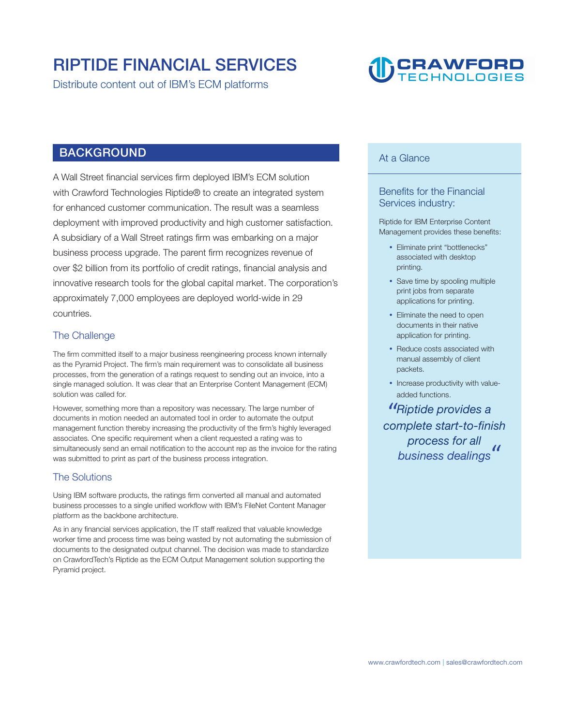### **RIPTIDE FINANCIAL SERVICES**

**Distribute content out of IBM's ECM platforms** 

## **TO CRAWFORD**

#### **BACKGROUND**

**A Wall Street financial services firm deployed IBM's ECM solution with Crawford Technologies Riptide® to create an integrated system for enhanced customer communication. The result was a seamless deployment with improved productivity and high customer satisfaction. A subsidiary of a Wall Street ratings firm was embarking on a major business process upgrade. The parent firm recognizes revenue of over \$2 billion from its portfolio of credit ratings, financial analysis and innovative research tools for the global capital market. The corporation's approximately 7,000 employees are deployed world-wide in 29 countries.** 

#### **The Challenge**

**The firm committed itself to a major business reengineering process known internally as the Pyramid Project. The firm's main requirement was to consolidate all business processes, from the generation of a ratings request to sending out an invoice, into a single managed solution. It was clear that an Enterprise Content Management (ECM) solution was called for.** 

**However, something more than a repository was necessary. The large number of documents in motion needed an automated tool in order to automate the output management function thereby increasing the productivity of the firm's highly leveraged associates. One specific requirement when a client requested a rating was to simultaneously send an email notification to the account rep as the invoice for the rating was submitted to print as part of the business process integration.** 

#### **The Solutions**

**Using IBM software products, the ratings firm converted all manual and automated business processes to a single unified workflow with IBM's FileNet Content Manager platform as the backbone architecture.** 

**As in any financial services application, the IT staff realized that valuable knowledge worker time and process time was being wasted by not automating the submission of documents to the designated output channel. The decision was made to standardize on CrawfordTech's Riptide as the ECM Output Management solution supporting the Pyramid project.** 

#### **At a Glance**

#### **Benefits for the Financial Services industry:**

**Riptide for IBM Enterprise Content Management provides these benefits:** 

- **Eliminate print "bottlenecks" associated with desktop printing.**
- **Save time by spooling multiple print jobs from separate applications for printing.**
- **Eliminate the need to open documents in their native application for printing.**
- **Reduce costs associated with manual assembly of client packets. "**
- **Increase productivity with valueadded functions.**

 **complete start-to-finish Riptide provides a process for all aded tunctions.<br>Riptide provides a<br>mplete start-to-finish<br>process for all<br>business dealings**